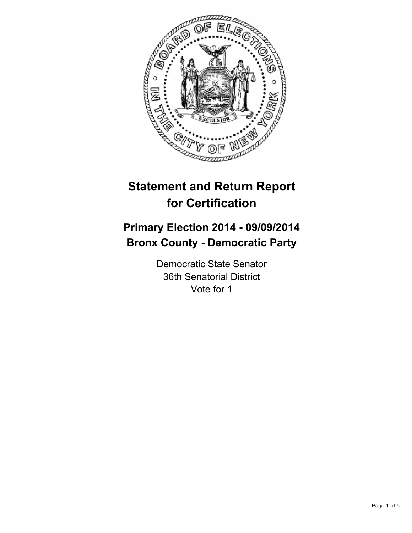

# **Statement and Return Report for Certification**

## **Primary Election 2014 - 09/09/2014 Bronx County - Democratic Party**

Democratic State Senator 36th Senatorial District Vote for 1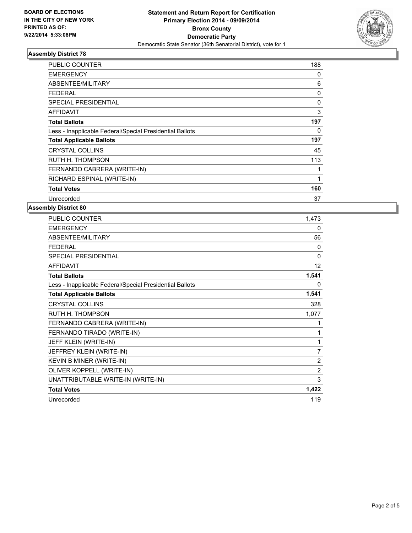

## **Assembly District 78**

| PUBLIC COUNTER                                           | 188 |
|----------------------------------------------------------|-----|
| <b>EMERGENCY</b>                                         | 0   |
| ABSENTEE/MILITARY                                        | 6   |
| FEDERAL                                                  | 0   |
| <b>SPECIAL PRESIDENTIAL</b>                              | 0   |
| <b>AFFIDAVIT</b>                                         | 3   |
| <b>Total Ballots</b>                                     | 197 |
| Less - Inapplicable Federal/Special Presidential Ballots | 0   |
| <b>Total Applicable Ballots</b>                          | 197 |
| <b>CRYSTAL COLLINS</b>                                   | 45  |
| RUTH H. THOMPSON                                         | 113 |
| FERNANDO CABRERA (WRITE-IN)                              |     |
| RICHARD ESPINAL (WRITE-IN)                               | 1   |
| <b>Total Votes</b>                                       | 160 |
| Unrecorded                                               | 37  |

#### **Assembly District 80**

| <b>PUBLIC COUNTER</b>                                    | 1,473          |
|----------------------------------------------------------|----------------|
| <b>EMERGENCY</b>                                         | 0              |
| ABSENTEE/MILITARY                                        | 56             |
| <b>FEDERAL</b>                                           | 0              |
| <b>SPECIAL PRESIDENTIAL</b>                              | $\mathbf{0}$   |
| <b>AFFIDAVIT</b>                                         | 12             |
| <b>Total Ballots</b>                                     | 1,541          |
| Less - Inapplicable Federal/Special Presidential Ballots | $\Omega$       |
| <b>Total Applicable Ballots</b>                          | 1,541          |
| <b>CRYSTAL COLLINS</b>                                   | 328            |
| <b>RUTH H. THOMPSON</b>                                  | 1,077          |
| FERNANDO CABRERA (WRITE-IN)                              | 1              |
| FERNANDO TIRADO (WRITE-IN)                               | 1              |
| JEFF KLEIN (WRITE-IN)                                    | 1              |
| JEFFREY KLEIN (WRITE-IN)                                 | 7              |
| KEVIN B MINER (WRITE-IN)                                 | $\overline{2}$ |
| OLIVER KOPPELL (WRITE-IN)                                | $\overline{2}$ |
| UNATTRIBUTABLE WRITE-IN (WRITE-IN)                       | 3              |
| <b>Total Votes</b>                                       | 1,422          |
| Unrecorded                                               | 119            |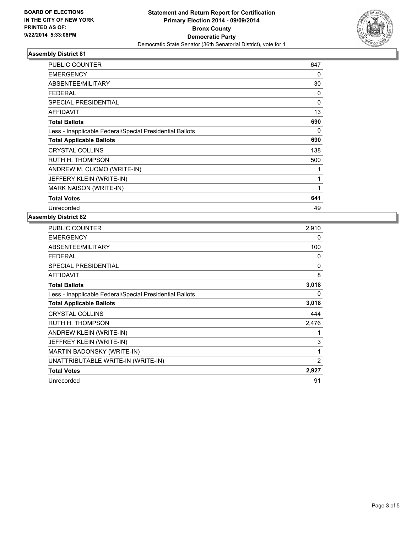

## **Assembly District 81**

| <b>PUBLIC COUNTER</b>                                    | 647      |
|----------------------------------------------------------|----------|
| <b>EMERGENCY</b>                                         | 0        |
| ABSENTEE/MILITARY                                        | 30       |
| <b>FEDERAL</b>                                           | 0        |
| SPECIAL PRESIDENTIAL                                     | $\Omega$ |
| <b>AFFIDAVIT</b>                                         | 13       |
| <b>Total Ballots</b>                                     | 690      |
| Less - Inapplicable Federal/Special Presidential Ballots | 0        |
| <b>Total Applicable Ballots</b>                          | 690      |
| <b>CRYSTAL COLLINS</b>                                   | 138      |
| RUTH H. THOMPSON                                         | 500      |
| ANDREW M. CUOMO (WRITE-IN)                               | 1        |
| JEFFERY KLEIN (WRITE-IN)                                 | 1        |
| MARK NAISON (WRITE-IN)                                   | 1        |
| <b>Total Votes</b>                                       | 641      |
| Unrecorded                                               | 49       |

#### **Assembly District 82**

| PUBLIC COUNTER                                           | 2,910        |
|----------------------------------------------------------|--------------|
| <b>EMERGENCY</b>                                         | 0            |
| ABSENTEE/MILITARY                                        | 100          |
| <b>FEDERAL</b>                                           | 0            |
| <b>SPECIAL PRESIDENTIAL</b>                              | $\mathbf{0}$ |
| <b>AFFIDAVIT</b>                                         | 8            |
| <b>Total Ballots</b>                                     | 3,018        |
| Less - Inapplicable Federal/Special Presidential Ballots | 0            |
| <b>Total Applicable Ballots</b>                          | 3,018        |
| <b>CRYSTAL COLLINS</b>                                   | 444          |
| RUTH H. THOMPSON                                         | 2,476        |
| ANDREW KLEIN (WRITE-IN)                                  | 1            |
| JEFFREY KLEIN (WRITE-IN)                                 | 3            |
| MARTIN BADONSKY (WRITE-IN)                               | 1            |
| UNATTRIBUTABLE WRITE-IN (WRITE-IN)                       | 2            |
| <b>Total Votes</b>                                       | 2,927        |
| Unrecorded                                               | 91           |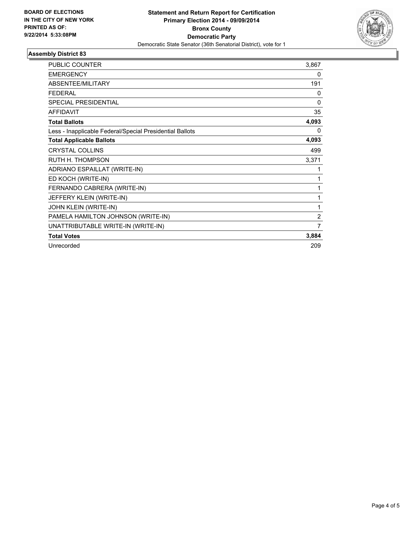

## **Assembly District 83**

| <b>PUBLIC COUNTER</b>                                    | 3,867          |
|----------------------------------------------------------|----------------|
| <b>EMERGENCY</b>                                         | 0              |
| ABSENTEE/MILITARY                                        | 191            |
| <b>FEDERAL</b>                                           | 0              |
| <b>SPECIAL PRESIDENTIAL</b>                              | 0              |
| <b>AFFIDAVIT</b>                                         | 35             |
| <b>Total Ballots</b>                                     | 4,093          |
| Less - Inapplicable Federal/Special Presidential Ballots | 0              |
| <b>Total Applicable Ballots</b>                          | 4,093          |
| <b>CRYSTAL COLLINS</b>                                   | 499            |
| RUTH H. THOMPSON                                         | 3,371          |
| ADRIANO ESPAILLAT (WRITE-IN)                             | 1              |
| ED KOCH (WRITE-IN)                                       | 1              |
| FERNANDO CABRERA (WRITE-IN)                              | 1              |
| JEFFERY KLEIN (WRITE-IN)                                 | 1              |
| JOHN KLEIN (WRITE-IN)                                    | 1              |
| PAMELA HAMILTON JOHNSON (WRITE-IN)                       | $\overline{2}$ |
| UNATTRIBUTABLE WRITE-IN (WRITE-IN)                       | 7              |
| <b>Total Votes</b>                                       | 3,884          |
| Unrecorded                                               | 209            |